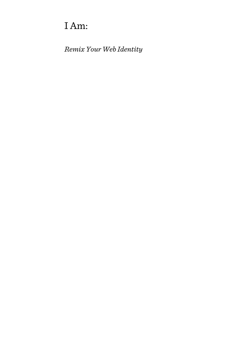# I Am:

*Remix Your Web Identity*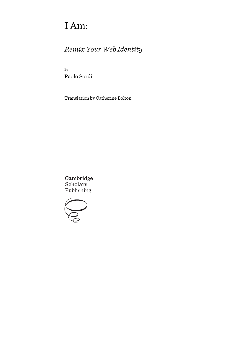# I Am:

# *Remix Your Web Identity*

By Paolo Sordi

Translation by Catherine Bolton

Cambridge Scholars Publishing

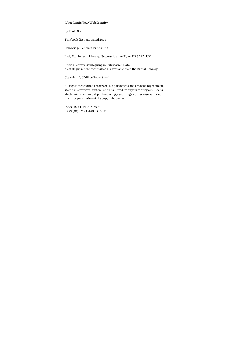I Am: Remix Your Web Identity

By Paolo Sordi

This book first published 2015

Cambridge Scholars Publishing

Lady Stephenson Library, Newcastle upon Tyne, NE6 2PA, UK

British Library Cataloguing in Publication Data A catalogue record for this book is available from the British Library

Copyright © 2015 by Paolo Sordi

All rights for this book reserved. No part of this book may be reproduced, stored in a retrieval system, or transmitted, in any form or by any means, electronic, mechanical, photocopying, recording or otherwise, without the prior permission of the copyright owner.

ISBN (10): 1-4438-7156-7 ISBN (13): 978-1-4438-7156-3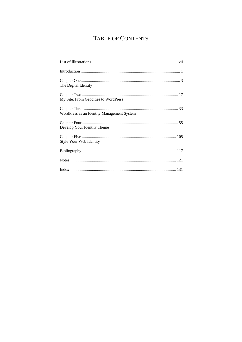# TABLE OF CONTENTS

| The Digital Identity                       |
|--------------------------------------------|
| My Site: From Geocities to WordPress       |
| WordPress as an Identity Management System |
| Develop Your Identity Theme                |
| Style Your Web Identity                    |
|                                            |
|                                            |
|                                            |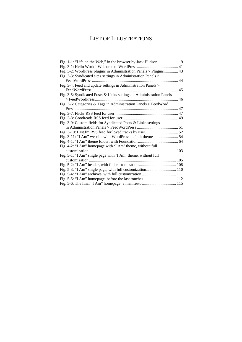# LIST OF ILLUSTRATIONS

| Fig. 3-2: WordPress plugins in Administration Panels > Plugins 43    |  |
|----------------------------------------------------------------------|--|
| Fig. 3-3: Syndicated sites settings in Administration Panels >       |  |
|                                                                      |  |
| Fig. 3-4: Feed and update settings in Administration Panels >        |  |
|                                                                      |  |
| Fig. 3-5: Syndicated Posts & Links settings in Administration Panels |  |
|                                                                      |  |
| Fig. 3-6: Categories & Tags in Administration Panels > FeedWord      |  |
|                                                                      |  |
|                                                                      |  |
|                                                                      |  |
| Fig. 3-9: Custom fields for Syndicated Posts & Links settings        |  |
|                                                                      |  |
|                                                                      |  |
|                                                                      |  |
|                                                                      |  |
| Fig. 4-2: "I Am" homepage with 'I Am' theme, without full            |  |
|                                                                      |  |
| Fig. 5-1: "I Am" single page with 'I Am' theme, without full         |  |
|                                                                      |  |
|                                                                      |  |
|                                                                      |  |
|                                                                      |  |
|                                                                      |  |
|                                                                      |  |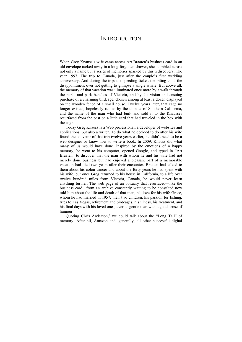### **INTRODUCTION**

When Greg Knauss's wife came across Art Braaten's business card in an old envelope tucked away in a long-forgotten drawer, she stumbled across not only a name but a series of memories sparked by this rediscovery. The year 1997. The trip to Canada, just after the couple's first wedding anniversary. And during the trip: the speeding ticket, the biting cold, the disappointment over not getting to glimpse a single whale. But above all, the memory of that vacation was illuminated once more by a walk through the parks and park benches of Victoria, and by the vision and ensuing purchase of a charming birdcage, chosen among at least a dozen displayed on the wooden fence of a small house. Twelve years later, that cage no longer existed, hopelessly ruined by the climate of Southern California, and the name of the man who had built and sold it to the Knausses resurfaced from the past on a little card that had traveled in the box with the cage.

Today Greg Knauss is a Web professional, a developer of websites and applications, but also a writer. To do what he decided to do after his wife found the souvenir of that trip twelve years earlier, he didn't need to be a web designer or know how to write a book. In 2009, Knauss did what many of us would have done. Inspired by the emotions of a happy memory, he went to his computer, opened Google, and typed in "Art Braaten" to discover that the man with whom he and his wife had not merely done business but had enjoyed a pleasant part of a memorable vacation had died two years after their encounter. Braaten had talked to them about his colon cancer and about the forty years he had spent with his wife, but once Greg returned to his house in California, to a life over twelve hundred miles from Victoria, Canada, he would never learn anything further. The web page of an obituary that resurfaced—like the business card—from an archive constantly waiting to be consulted now told him about the life and death of that man, his love for his wife Grace, whom he had married in 1957, their two children, his passion for fishing, trips to Las Vegas, retirement and birdcages, his illness, his treatment, and his final days with his loved ones, ever a "gentle man with a good sense of humour."

Quoting Chris Anderson,<sup>1</sup> we could talk about the "Long Tail" of memory. After all, Amazon and, generally, all other successful digital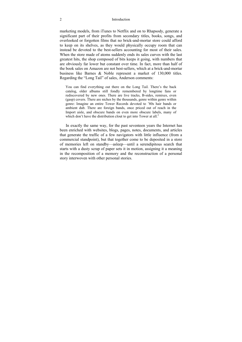#### 2 Introduction

marketing models, from iTunes to Netflix and on to Rhapsody, generate a significant part of their profits from secondary titles, books, songs, and overlooked or forgotten films that no brick-and-mortar store could afford to keep on its shelves, as they would physically occupy room that can instead be devoted to the best-sellers accounting for most of their sales. When the store made of atoms suddenly ends its sales curves with the last greatest hits, the shop composed of bits keeps it going, with numbers that are obviously far lower but constant over time. In fact, more than half of the book sales on Amazon are not best-sellers, which at a brick-and-mortar business like Barnes & Noble represent a market of 130,000 titles. Regarding the "Long Tail" of sales, Anderson comments:

You can find everything out there on the Long Tail. There's the back catalog, older albums still fondly remembered by longtime fans or rediscovered by new ones. There are live tracks, B-sides, remixes, even (gasp) covers. There are niches by the thousands, genre within genre within genre: Imagine an entire Tower Records devoted to '80s hair bands or ambient dub. There are foreign bands, once priced out of reach in the Import aisle, and obscure bands on even more obscure labels, many of which don't have the distribution clout to get into Tower at all. $2$ 

In exactly the same way, for the past seventeen years the Internet has been enriched with websites, blogs, pages, notes, documents, and articles that generate the traffic of a few navigators with little influence (from a commercial standpoint), but that together come to be deposited in a store of memories left on standby—asleep—until a serendipitous search that starts with a dusty scrap of paper sets it in motion, assigning it a meaning in the recomposition of a memory and the reconstruction of a personal story interwoven with other personal stories.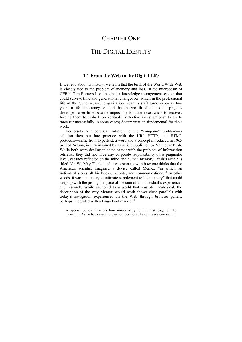### CHAPTER ONE

### THE DIGITAL IDENTITY

#### **1.1 From the Web to the Digital Life**

If we read about its history, we learn that the birth of the World Wide Web is closely tied to the problem of memory and loss. In the microcosm of CERN, Tim Berners-Lee imagined a knowledge-management system that could survive time and generational changeover, which in the professional life of the Geneva-based organization meant a staff turnover every two years: a life expectancy so short that the wealth of studies and projects developed over time became impossible for later researchers to recover, forcing them to embark on veritable "detective investigations" to try to trace (unsuccessfully in some cases) documentation fundamental for their work.

Berners-Lee's theoretical solution to the "company" problem—a solution then put into practice with the URI, HTTP, and HTML protocols—came from hypertext, a word and a concept introduced in 1965 by Ted Nelson, in turn inspired by an article published by Vannevar Bush. While both were dealing to some extent with the problem of information retrieval, they did not have any corporate responsibility on a pragmatic level, yet they reflected on the mind and human memory. Bush's article is titled "As We May Think" and it was starting with how one thinks that the American scientist imagined a device called Memex "in which an individual stores all his books, records, and communications."3 In other words, it was "an enlarged intimate supplement to his memory" that could keep up with the prodigious pace of the sum of an individual's experiences and research. While anchored to a world that was still analogical, the description of the way Memex would work shows close parallels with today's navigation experiences on the Web through browser panels, perhaps integrated with a Diigo bookmarklet:<sup>4</sup>

A special button transfers him immediately to the first page of the index. . . . As he has several projection positions, he can leave one item in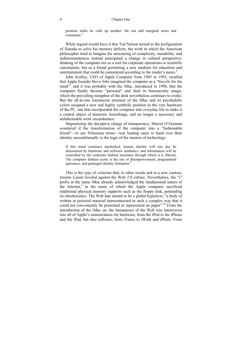position while he calls up another. He can add marginal notes and comments<sup>5</sup>

While legend would have it that Ted Nelson turned to the prefiguration of Xanadu to solve his memory deficits, the work in which the American philosopher tried to imagine the structuring of complexity, mutability, and indeterminateness instead anticipated a change in cultural perspective: thinking of the computer not as a tool for corporate operations or scientific calculations, but as a friend permitting a new medium for education and entertainment that could be customized according to the reader's tastes.<sup>6</sup>

John Sculley, CEO of Apple Computer from 1983 to 1993, recalled that Apple founder Steve Jobs imagined the computer as a "bicycle for the mind"<sup>7</sup> and it was probably with the iMac, introduced in 1998, that the computer finally became "personal" and shed its bureaucratic image, which the prevailing metaphor of the desk nevertheless continues to evoke. But the all-in-one translucent structure of the iMac and its psychedelic colors assigned a new and highly symbolic position to the very hardware of the PC, one that incorporated the computer into everyday life to make it a central object of domestic furnishings, and no longer a necessary and unfathomable work encumbrance.

Stigmatizing the deceptive charge of transparency, Marcel O'Gorman wondered if the transformation of the computer into a "fashionable friend"—to use Nelsonian terms—was leading users to hand over their identity unconditionally to the logic of the masters of technology:

If this trend continues unchecked, human identity will one day be determined by hardware and software aesthetics, and information will be controlled by the corporate fashion machines through which it is filtered. The computer fashion scene is the site of disempowerment, programmed ignorance, and packaged identity formation.<sup>8</sup>

This is the type of criticism that, in other words and in a new context, Jerome Lanier leveled against the Web 2.0 culture. Nevertheless, the "i" prefix in the name iMac already acknowledged the fundamental nature of the Internet,<sup>9</sup> in the name of which the Apple computer sacrificed traditional physical memory supports such as the floppy disk, portending its obsolescence. The Web had started to be a global hypertext, "a body of written or pictorial material interconnected in such a complex way that it could not conveniently be presented or represented on paper".10 From the introduction of the iMac on, the immanence of the Web was interwoven into all of Apple's nomenclature for hardware, from the iPod to the iPhone and the iPad, but also software, from iTunes to iWork and iPhoto. From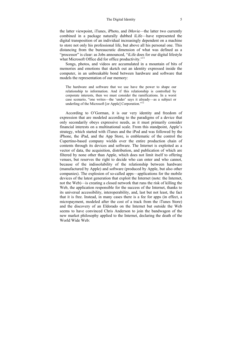#### The Digital Identity 5

the latter viewpoint, iTunes, iPhoto, and iMovie—the latter two currently combined in a package naturally dubbed iLife—have represented the digital transposition of an individual increasingly dependent on a machine to store not only his professional life, but above all his personal one. This distancing from the bureaucratic dimension of what was defined as a "processor" is clear: as Jobs announced, "iLife does for our digital lifestyle what Microsoft Office did for office productivity."<sup>11</sup>

Songs, photos, and videos are accumulated in a mountain of bits of memories and emotions that sketch out an identity expressed inside the computer, in an unbreakable bond between hardware and software that models the representation of our memory:

The hardware and software that we use have the power to shape our relationship to information. And if this relationship is controlled by corporate interests, then we must consider the ramifications. In a worst case scenario, "one writes—the 'under' says it already—as a subject or underling of the Microsoft [or Apple] Corporation."12

According to O'Gorman, it is our very identity and freedom of expression that are modeled according to the paradigms of a device that only secondarily obeys expressive needs, as it must primarily consider financial interests on a multinational scale. From this standpoint, Apple's strategy, which started with iTunes and the iPod and was followed by the iPhone, the iPad, and the App Store, is emblematic of the control the Cupertino-based company wields over the entire production chain of contents through its devices and software. The Internet is exploited as a vector of data, the acquisition, distribution, and publication of which are filtered by none other than Apple, which does not limit itself to offering venues, but reserves the right to decide who can enter and who cannot, because of the indissolubility of the relationship between hardware (manufactured by Apple) and software (produced by Apple, but also other companies). The explosion of so-called apps—applications for the mobile devices of the latest generation that exploit the Internet (note: the Internet, not the Web)—is creating a closed network that runs the risk of killing the Web, the application responsible for the success of the Internet, thanks to its universal accessibility, interoperability, and, last but not least, the fact that it is free. Instead, in many cases there is a fee for apps (in effect, a micropayment, modeled after the cost of a track from the iTunes Store) and the discovery of an Eldorado on the Internet but outside the Web seems to have convinced Chris Anderson to join the bandwagon of the new market philosophy applied to the Internet, declaring the death of the World Wide Web: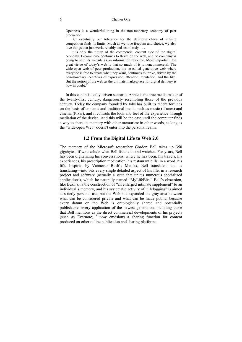Openness is a wonderful thing in the non-monetary economy of peer production.

But eventually our tolerance for the delirious chaos of infinite competition finds its limits. Much as we love freedom and choice, we also love things that just work, reliably and seamlessly. . . .

It is only the future of the commercial content side of the digital economy. E-commerce continues to thrive on the web, and no company is going to shut its website as an information resource. More important, the great virtue of today's web is that so much of it is noncommercial. The wide-open web of peer production, the so-called generative web where everyone is free to create what they want, continues to thrive, driven by the non-monetary incentives of expression, attention, reputation, and the like. But the notion of the web as the ultimate marketplace for digital delivery is now in doubt  $13$ 

In this capitalistically driven scenario, Apple is the true media maker of the twenty-first century, dangerously resembling those of the previous century. Today the company founded by Jobs has built its recent fortunes on the basis of contents and traditional media such as music (iTunes) and cinema (Pixar), and it controls the look and feel of the experience through mediation of the device. And this will be the case until the computer finds a way to share its memory with other memories: in other words, as long as the "wide-open Web" doesn't enter into the personal realm.

#### **1.2 From the Digital Life to Web 2.0**

The memory of the Microsoft researcher Gordon Bell takes up 350 gigabytes, if we exclude what Bell listens to and watches. For years, Bell has been digitalizing his conversations, where he has been, his travels, his experiences, his prescription medication, his restaurant bills: in a word, his life. Inspired by Vannevar Bush's Memex, Bell translated—and is translating—into bits every single detailed aspect of his life, in a research project and software (actually a suite that unites numerous specialized applications), which he naturally named "MyLifeBits." Bell's obsession, like Bush's, is the construction of "an enlarged intimate supplement" to an individual's memory, and his systematic activity of "lifelogging" is aimed at strictly personal use, but the Web has expanded the gray area between what can be considered private and what can be made public, because every datum on the Web is ontologically shared and potentially publishable: every application of the newest generation, including those that Bell mentions as the direct commercial developments of his projects (such as Evernote), $^{14}$  now envisions a sharing function for content produced on other online publication and sharing platforms.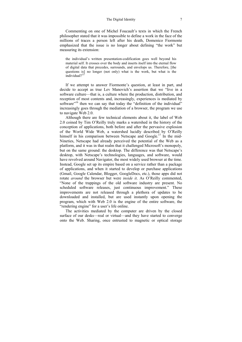Commenting on one of Michel Foucault's texts in which the French philosopher stated that it was impossible to define a work in the face of the millions of traces a person left after his death, Domenico Fiormonte emphasized that the issue is no longer about defining "the work" but measuring its extension:

the individual's written presentation-codification goes well beyond his material self. It crosses over the body and inserts itself into the eternal flow of digital data that precedes, surrounds, and envelops us. Therefore, [the questions is] no longer (not only) what is the work, but what is the individual?<sup>15</sup>

If we attempt to answer Fiormonte's question, at least in part, and decide to accept as true Lev Manovich's assertion that we "live in a software culture—that is, a culture where the production, distribution, and reception of most contents and, increasingly, experiences is mediated by software"<sup>16</sup> then we can say that today the "definition of the individual" increasingly goes through the mediation of a browser, the program we use to navigate Web 2.0.

Although there are few technical elements about it, the label of Web 2.0 coined by Tim O'Reilly truly marks a watershed in the history of the conception of applications, both before and after the pervasive explosion of the World Wide Web, a watershed lucidly described by O'Reilly himself in his comparison between Netscape and Google.<sup>17</sup> In the mid-Nineties, Netscape had already perceived the potential of the Web as a platform, and it was in that realm that it challenged Microsoft's monopoly, but on the same ground: the desktop. The difference was that Netscape's desktop, with Netscape's technologies, languages, and software, would have revolved around Navigator, the most widely used browser at the time. Instead, Google set up its empire based on a service rather than a package of applications, and when it started to develop or purchase applications (Gmail, Google Calendar, Blogger, GoogleDocs, etc.), those apps did not rotate *around* the browser but were *inside it*. As O'Reilly commented, "None of the trappings of the old software industry are present. No scheduled software releases, just continuous improvement." These improvements are not released through a plethora of updates to be downloaded and installed, but are used instantly upon opening the program, which with Web 2.0 is the engine of the entire software, the "rendering engine" for a user's life online.

The activities mediated by the computer are driven by the closed surface of our desks—real or virtual—and they have started to converge onto the Web. Sharing, once entrusted to magnetic or optical storage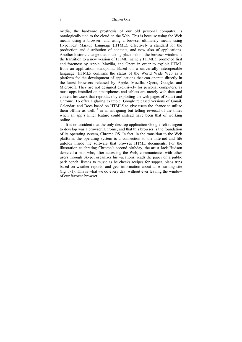#### 8 Chapter One

media, the hardware prosthesis of our old personal computer, is ontologically tied to the cloud on the Web. This is because using the Web means using a browser, and using a browser ultimately means using HyperText Markup Language (HTML), effectively a standard for the production and distribution of contents, and now also of applications. Another historic change that is taking place behind the browser window is the transition to a new version of HTML, namely HTML5, promoted first and foremost by Apple, Mozilla, and Opera in order to exploit HTML from an application standpoint. Based on a universally interoperable language, HTML5 confirms the status of the World Wide Web as a platform for the development of applications that can operate directly in the latest browsers released by Apple, Mozilla, Opera, Google, and Microsoft. They are not designed exclusively for personal computers, as most apps installed on smartphones and tablets are merely web data and content browsers that reproduce by exploiting the web pages of Safari and Chrome. To offer a glaring example, Google released versions of Gmail, Calendar, and Docs based on HTML5 to give users the chance to utilize them offline as well, $^{18}$  in an intriguing but telling reversal of the times when an app's killer feature could instead have been that of working online.

It is no accident that the only desktop application Google felt it urgent to develop was a browser, Chrome, and that this browser is the foundation of its operating system, Chrome OS. In fact, in the transition to the Web platform, the operating system is a connection to the Internet and life unfolds inside the software that browses HTML documents. For the illustration celebrating Chrome's second birthday, the artist Jack Hudson depicted a man who, after accessing the Web, communicates with other users through Skype, organizes his vacations, reads the paper on a public park bench, listens to music as he checks recipes for supper, plans trips based on weather reports, and gets information about an e-learning site (fig. 1-1). This is what we do every day, without ever leaving the window of our favorite browser.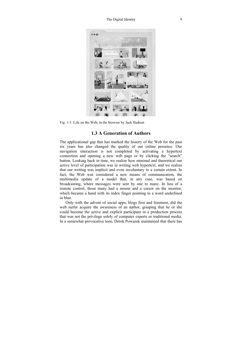

Fig. 1-1: Life on the Web, in the browser by Jack Hudson

#### **1.3 A Generation of Authors**

The applicational gap that has marked the history of the Web for the past six years has also changed the quality of our online presence. Our navigation interaction is not completed by activating a hypertext connection and opening a new web page or by clicking the "search" button. Looking back in time, we realize how minimal and theoretical our active level of participation was in writing web hypertext, and we realize that our writing was implicit and even involuntary to a certain extent. In fact, the Web was considered a new means of communication, the multimedia update of a model that, in any case, was based on broadcasting, where messages were sent by one to many. In lieu of a remote control, those many had a mouse and a cursor on the monitor, which became a hand with its index finger pointing to a word underlined in blue.

Only with the advent of social apps, blogs first and foremost, did the web surfer acquire the awareness of an author, grasping that he or she could become the active and explicit participant in a production process that was not the privilege solely of computer experts or traditional media. In a somewhat provocative tone, Derek Powazek maintained that there has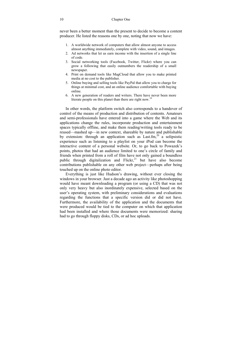never been a better moment than the present to decide to become a content producer. He listed the reasons one by one, noting that now we have:

- 1. A worldwide network of computers that allow almost anyone to access almost anything immediately, complete with video, sound, and images.
- 2. Ad networks that let us earn income with the insertion of a single line of code.
- 3. Social networking tools (Facebook, Twitter, Flickr) where you can grow a following that easily outnumbers the readership of a small newspaper
- 4. Print on demand tools like MagCloud that allow you to make printed media at no cost to the publisher.
- 5. Online buying and selling tools like PayPal that allow you to charge for things at minimal cost, and an online audience comfortable with buying online.
- 6. A new generation of readers and writers. There have never been more literate people on this planet than there are right now.<sup>19</sup>

In other words, the platform switch also corresponds to a handover of control of the means of production and distribution of contents. Amateurs and semi-professionals have entered into a game where the Web and its applications change the rules, incorporate production and entertainment spaces typically offline, and make them reading/writing tools ready to be reused—mashed up—in new context, shareable by nature and publishable by extension: through an application such as  $Lastfim<sub>1</sub><sup>20</sup>$  a solipsistic experience such as listening to a playlist on your iPod can become the interactive content of a personal website. Or, to go back to Powazek's points, photos that had an audience limited to one's circle of family and friends when printed from a roll of film have not only gained a boundless public through digitalization and  $Flickr<sub>1</sub><sup>21</sup>$  but have also become contributions publishable on any other web project—perhaps after being touched up on the online photo editor.

Everything is just like Hudson's drawing, without ever closing the windows in your browser. Just a decade ago an activity like photoshopping would have meant downloading a program (or using a CD) that was not only very heavy but also inordinately expensive, selected based on the user's operating system, with preliminary considerations and evaluations regarding the functions that a specific version did or did not have. Furthermore, the availability of the application and the documents that were produced would be tied to the computer on which that application had been installed and where those documents were memorized: sharing had to go through floppy disks, CDs, or ad hoc uploads.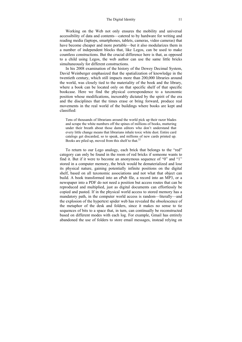Working on the Web not only ensures the mobility and universal accessibility of data and contents—catered to by hardware for writing and reading media (laptops, smartphones, tablets, cameras, video cameras) that have become cheaper and more portable—but it also modularizes them in a number of independent blocks that, like Legos, can be used to make countless constructions. But the crucial difference here is that, as opposed to a child using Legos, the web author can use the same little bricks simultaneously for different constructions.

In his 2008 examination of the history of the Dewey Decimal System, David Weinberger emphasized that the spatialization of knowledge in the twentieth century, which still impacts more than 200,000 libraries around the world, was closely tied to the materiality of the book and the library, where a book can be located only on that specific shelf of that specific bookcase. Here we find the physical correspondence to a taxonomic position whose modifications, inexorably dictated by the spirit of the era and the disciplines that the times erase or bring forward, produce real movements in the real world of the buildings where books are kept and classified:

Tens of thousands of librarians around the world pick up their razor blades and scrape the white numbers off the spines of millions of books, muttering under their breath about those damn editors who don't understand that every little change means that librarians inhale toxic white dust. Entire card catalogs get discarded, so to speak, and millions of new cards printed up. Books are piled up, moved from this shelf to that.<sup>22</sup>

To return to our Lego analogy, each brick that belongs to the "red" category can only be found in the room of red bricks if someone wants to find it. But if it were to become an anonymous sequence of "0" and "1" stored in a computer memory, the brick would be dematerialized and lose its physical nature, gaining potentially infinite positions on the digital shelf, based on all taxonomic associations and not what that object can build. A book transformed into an ePub file, a record into an MP3, or a newspaper into a PDF do not need a position but access routes that can be reproduced and multiplied, just as digital documents can effortlessly be copied and pasted. If in the physical world access to stored memory has a mandatory path, in the computer world access is random—literally—and the explosion of the hypertext spider web has revealed the obsolescence of the metaphor of the desk and folders, since it makes no sense to tie sequences of bits to a space that, in turn, can continually be reconstructed based on different modes with each log. For example, Gmail has entirely abandoned the use of folders to store email messages, instead relying on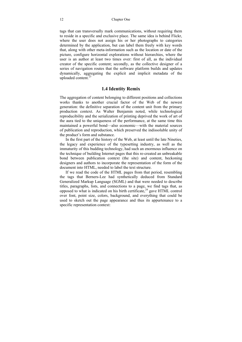tags that can transversally mark communications, without requiring them to reside in a specific and exclusive place. The same idea is behind Flickr, where the user does not assign his or her photographs to categories determined by the application, but can label them freely with key words that, along with other meta-information such as the location or date of the picture, configure horizontal explorations without hierarchies, where the user is an author at least two times over: first of all, as the individual creator of the specific content; secondly, as the collective designer of a series of navigation routes that the software platform builds and updates dynamically, aggregating the explicit and implicit metadata of the uploaded content. $23$ 

#### **1.4 Identity Remix**

The aggregation of content belonging to different positions and collections works thanks to another crucial factor of the Web of the newest generation: the definitive separation of the content unit from the primary production context. As Walter Benjamin noted, while technological reproducibility and the serialization of printing deprived the work of art of the aura tied to the uniqueness of the performance, at the same time this maintained a powerful bond—also economic—with the material sources of publication and reproduction, which preserved the indissoluble unity of the product's form and substance.

In the first part of the history of the Web, at least until the late Nineties, the legacy and experience of the typesetting industry, as well as the immaturity of this budding technology, had such an enormous influence on the technique of building Internet pages that this re-created an unbreakable bond between publication context (the site) and content, beckoning designers and authors to incorporate the representation of the form of the document into HTML, needed to label the text structure.

If we read the code of the HTML pages from that period, resembling the tags that Berners-Lee had synthetically deduced from Standard Generalized Markup Language (SGML) and that were needed to describe titles, paragraphs, lists, and connections to a page, we find tags that, as opposed to what is indicated on his birth certificate, $^{24}$  gave HTML control over font, point size, colors, background, and everything that could be used to sketch out the page appearance and thus its appurtenance to a specific representation context: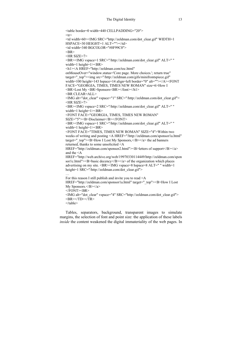```
<table border=0 width=440 CELLPADDING="20"> 
<tr><td width=60><IMG SRC="http://zeldman.com/dot_clear.gif" WIDTH=1 
HSPACE=30 HEIGHT=1 ALT=""></td> 
<td width=340 BGCOLOR="#0F99C0"> 
<BR><HR SIZE=7> 
<BR><IMG vspace=1 SRC="/http://zeldman.com/dot_clear.gif" ALT=" " 
width=1 height=1><BR>
<h1><A HREF="http://zeldman.com/toc.html" 
onMouseOver="window.status='Core page. More choices.'; return true" 
target=" top"><img src="/http://zeldman.com/gifs/minifrontspiece.gif"
width=100 height=143 hspace=14 align=left border="0" alt=""></A><FONT
FACE="GEORGIA, TIMES, TIMES NEW ROMAN" size=6>How I 
<BR>Lost My <BR>Sponsors<BR></font></h1> 
\leqBR CLEAR=ALL><IMG alt="dot_clear" vspace="1" SRC="/http://zeldman.com/dot_clear.gif"> 
<HR SIZE=7> 
<BR><IMG vspace=2 SRC="/http://zeldman.com/dot_clear.gif" ALT=" " 
width=1 height=1><BR>
<FONT FACE="GEORGIA, TIMES, TIMES NEW ROMAN" 
SIZE="5"><B>Disclaimer</B></FONT> 
<BR><IMG vspace=1 SRC="/http://zeldman.com/dot_clear.gif" ALT=" " 
width=1 height=1><BR>
<FONT FACE="TIMES, TIMES NEW ROMAN" SIZE="4">Within two 
weeks of writing and posting <A HREF="/http://zeldman.com/sponsor1a.html"
target=" \text{top}"><B>How I Lost My Sponsors, </B>></a> the ad banners
returned, thanks to some unsolicited <A 
HREF="http://zeldman.com/sponsor2.html"><B>letters of support</B></a> 
and the <A 
HREF="http://web.archive.org/web/19970330114449/http://zeldman.com/spon
sor1c.html"\geqB>basic decency\leqB\geq\leqa\geq of the organization which places
advertising on my site. <BR><IMG vspace=8 hspace=8 ALT=" " width=1 
height=1 SRC="/http://zeldman.com/dot_clear.gif">
For this reason I still publish and invite you to read <A 
HREF="http://zeldman.com/sponsor1a.html" target="_top"><B>How I Lost
My Sponsors.</B></a>
<FONT>BR><IMG alt="dot_clear" vspace="4" SRC="http://zeldman.com/dot_clear.gif"> 
\langleBR>\langleTD>\langleTR></table>
```
Tables, separators, background, transparent images to simulate margins, the selection of font and point size: the application of these labels *inside* the content weakened the digital immateriality of the web pages. In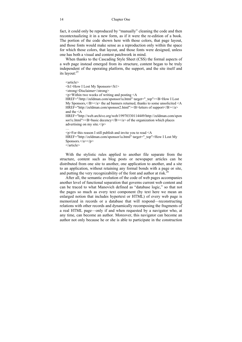fact, it could only be reproduced by "manually" cleaning the code and then recontextualizing it in a new form, as if it were the re-edition of a book. The portion of the code shown here with those colors, that page layout, and those fonts would make sense as a reproduction only within the space for which those colors, that layout, and those fonts were designed, unless one has both a visual and content patchwork in mind.

When thanks to the Cascading Style Sheet (CSS) the formal aspects of a web page instead emerged from its structure, content began to be truly independent of the operating platform, the support, and the site itself and its layout:25

<article> <h1>How I Lost My Sponsors</h1> <strong>Disclaimer</strong>  $\langle p \rangle$ Within two weeks of writing and posting  $\langle A \rangle$ HREF="/http://zeldman.com/sponsor1a.html" target="\_top"><B>How I Lost My Sponsors,  $\langle B \rangle \langle A \rangle$  the ad banners returned, thanks to some unsolicited  $\langle A \rangle$ HREF="http://zeldman.com/sponsor2.html"><B>letters of support</B></a> and the <A HREF="http://web.archive.org/web/19970330114449/http://zeldman.com/spon sor1c.html" $\geq$ B $>$ basic decency $\leq$ B $\geq$  $\leq$ a $\geq$  of the organization which places advertising on my site. $\langle p \rangle$ …  $\leq p$ >For this reason I still publish and invite you to read  $\leq A$ HREF="http://zeldman.com/sponsor1a.html" target=" top">How I Lost My Sponsors.</a>>

```
\overline{\left\langle}article\right\rangle
```
With the stylistic rules applied to another file separate from the structure, content such as blog posts or newspaper articles can be distributed from one site to another, one application to another, and a site to an application, without retaining any formal bonds with a page or site, and putting the very recognizability of the font and author at risk.<sup>26</sup>

After all, the semantic evolution of the code of web pages accompanies another level of functional separation that governs current web content and can be traced to what Manovich defined as "database logic," so that not the pages so much as every text component (by text here we mean an enlarged notion that includes hypertext or HTML) of every web page is memorized in records or a database that will respond—reconstructing relations with other records and dynamically recomposing the fragments of a real HTML page—only if and when requested by a navigator who, at any time, can become an author. Moreover, this navigator can become an author not only because he or she is able to participate in the construction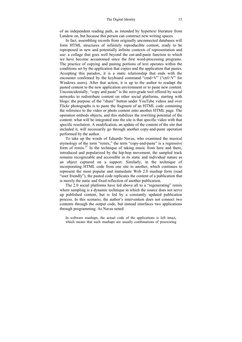of an independent reading path, as intended by hypertext literature from Landow on, but because this person can construct new writing spaces.

In fact, assembling records from originally unconnected databases will form HTML structures of infinitely reproducible content, ready to be reproposed in new and potentially infinite contexts of representation and use: a collage that goes well beyond the cut-and-paste function to which we have become accustomed since the first word-processing programs. The practice of copying and pasting portions of text operates within the conditions set by the application that copies and the application that pastes. Accepting this paradox, it is a static relationship that ends with the encounter confirmed by the keyboard command "cmd+V" ("ctrl+V" for Windows users). After that action, it is up to the author to readapt the pasted content to the new application environment or to paste new content. Uncoincidentally, "copy and paste" is the zero-grade tool offered by social networks to redistribute content on other social platforms, starting with blogs: the purpose of the "share" button under YouTube videos and over Flickr photographs is to paste the fragment of an HTML code containing the reference to the video or photo content onto another HTML page. The operation embeds objects, and this stabilizes the rewriting potential of the content: what will be integrated into the site is that specific video with that specific resolution. A modification, an update of the content of the site that included it, will necessarily go through another copy-and-paste operation performed by the author.

To take up the words of Eduardo Navas, who examined the musical etymology of the term "remix," the term "copy-and-paste" is a regressive form of remix.<sup>27</sup> In the technique of taking music from here and there, introduced and popularized by the hip-hop movement, the sampled track remains recognizable and accessible in its static and individual nature as an object captured on a support. Similarly, in the technique of incorporating HTML code from one site to another, which continues to represent the most popular and immediate Web 2.0 mashup form (read "user friendly"), the pasted code replicates the content of a publication that is merely the static and fixed reflection of another publication.

The 2.0 social platforms have led above all to a "regenerating" remix where sampling is a dynamic technique in which the source does not serve up published content, but is fed by a constantly updated publication process. In this scenario, the author's intervention does not connect two contents through the output code, but instead interfaces two applications through programming. As Navas noted:

In software mashups, the actual code of the applications is left intact, which means that such mashups are usually combinations of preexisting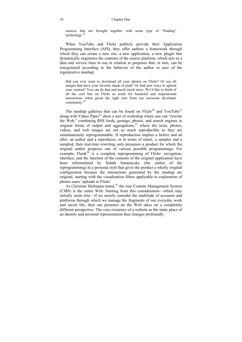sources that are brought together with some type of "binding" technology.28

When YouTube and Flickr publicly provide their Application Programming Interface (API), they offer authors a framework through which they can create a new site, a new application, a new plugin that dynamically negotiates the contents of the source platform, which acts as a data and service base to use in relation to purposes that, in turn, can be renegotiated according to the behavior of the author or user of the regenerative mashup:

Did you ever want to download all your photos on Flickr? Or see all images that have your favorite shade of pink? Or find new ways to upload your content? You can do that and much much more. We'd like to think of all the cool bits on Flickr as seeds for beautiful and inspirational interactions when given the right care from our awesome developer community.29

The mashup galleries that can be found on  $Flickr<sup>30</sup>$  and YouTube<sup>31</sup> along with Yahoo Pipes<sup>32</sup> show a sort of workshop where one can "rewrite" the Web," combining RSS feeds, geotags, photos, and search engines in original forms of output and aggregations, $33$  where the texts, photos, videos, and web images are not so much reproducible as they are simultaneously reprogrammable. If reproduction implies a before and an after, an author and a reproducer, or in terms of remix, a sampler and a sampled, then real-time rewriting only presumes a product for which the original author proposes one of various possible programmings. For example, Fluidr $34$  is a complete reprogramming of Flickr: navigation, interface, and the function of the contents of the original application have been reformulated by Sidath Senanayake (the author of the reprogramming) in a personal style that gives the product a wholly original configuration because the interactions generated by the mashup are original, starting with the visualization filters applicable to exploration of photos users' uploads to Flickr.

As Christian Heilmann noted,<sup>35</sup> the true Content Management System (CMS) is the entire Web. Starting from this consideration—which may initially seem trite—if we merely consider the multitude of accounts and platforms through which we manage the fragments of our everyday work and social life, then our presence on the Web takes on a completely different perspective. The very existence of a website as the static place of an identity and personal representation thus changes profoundly.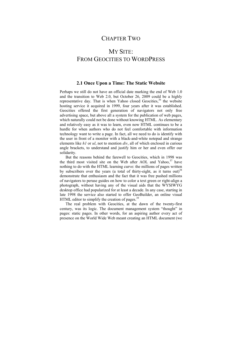### CHAPTER TWO

## MY SITE: FROM GEOCITIES TO WORDPRESS

#### **2.1 Once Upon a Time: The Static Website**

Perhaps we still do not have an official date marking the end of Web 1.0 and the transition to Web 2.0, but October 26, 2009 could be a highly representative day. That is when Yahoo closed Geocities,<sup>36</sup> the website hosting service it acquired in 1999, four years after it was established. Geocities offered the first generation of navigators not only free advertising space, but above all a system for the publication of web pages, which naturally could not be done without knowing HTML. As elementary and relatively easy as it was to learn, even now HTML continues to be a hurdle for when authors who do not feel comfortable with information technology want to write a page. In fact, all we need to do is identify with the user in front of a monitor with a black-and-white notepad and strange elements like *h1* or *ul*, not to mention *div*, all of which enclosed in curious angle brackets, to understand and justify him or her and even offer our solidarity.

But the reasons behind the farewell to Geocities, which in 1998 was the third most visited site on the Web after AOL and Yahoo,<sup>37</sup> have nothing to do with the HTML learning curve: the millions of pages written by subscribers over the years (a total of thirty-eight, as it turns out)<sup>38</sup> demonstrate that enthusiasm and the fact that it was free pushed millions of navigators to peruse guides on how to color a text green or right-align a photograph, without having any of the visual aids that the WYSIWYG desktop office had popularized for at least a decade. In any case, starting in late 1998 the service also started to offer GeoBuilder, an online visual HTML editor to simplify the creation of pages.<sup>39</sup>

The real problem with Geocities, at the dawn of the twenty-first century, was its logic. The document management system "thought" in pages: static pages. In other words, for an aspiring author every act of presence on the World Wide Web meant creating an HTML document (we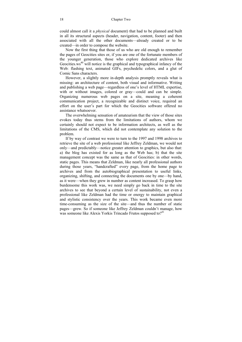could almost call it a *physical* document) that had to be planned and built in all its structural aspects (header, navigation, content, footer) and then associated with all the other documents—already created or to be created—in order to compose the website.

Now the first thing that those of us who are old enough to remember the pages of Geocities sites or, if you are one of the fortunate members of the younger generation, those who explore dedicated archives like Geocities.ws<sup>40</sup> will notice is the graphical and typographical infancy of the Web: flashing text, animated GIFs, psychedelic colors, and a glut of Comic Sans characters.

However, a slightly more in-depth analysis promptly reveals what is missing: an architecture of content, both visual and informative. Writing and publishing a web page—regardless of one's level of HTML expertise, with or without images, colored or gray—could and can be simple. Organizing numerous web pages on a site, meaning a coherent communication project, a recognizable and distinct voice, required an effort on the user's part for which the Geocities software offered no assistance whatsoever.

The overwhelming sensation of amateurism that the view of those sites evokes today thus stems from the limitations of authors, whom we certainly should not expect to be information architects, as well as the limitations of the CMS, which did not contemplate any solution to the problem.

If by way of contrast we were to turn to the 1997 and 1998 archives to retrieve the site of a web professional like Jeffrey Zeldman, we would not only—and predictably—notice greater attention to graphics, but also that: a) the blog has existed for as long as the Web has; b) that the site management concept was the same as that of Geocities: in other words, static pages. This means that Zeldman, like nearly all professional authors during those years, "handcrafted" every page, from the home page to archives and from the autobiographical presentation to useful links, organizing, shifting, and connecting the documents one by one—by hand, as it were—when they grew in number as content increased. To grasp how burdensome this work was, we need simply go back in time to the site archives to see that beyond a certain level of sustainability, not even a professional like Zeldman had the time or energy to maintain graphical and stylistic consistency over the years. This work became even more time-consuming as the size of the site—and thus the number of static pages—grew. So if someone like Jeffrey Zeldman couldn't manage, how was someone like Alexis Yorkis Trincado Frutos supposed to?<sup>41</sup>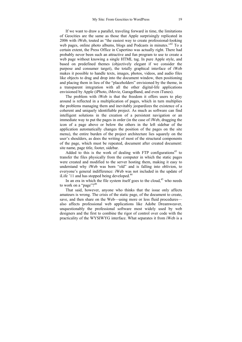If we want to draw a parallel, traveling forward in time, the limitations of Geocities are the same as those that Apple surprisingly replicated in 2006 with iWeb, touted as "the easiest way to create professional-looking web pages, online photo albums, blogs and Podcasts in minutes.<sup>342</sup> To a certain extent, the Press Office in Cupertino was actually right. There had probably never been such an attractive and fun program to use to create a web page without knowing a single HTML tag. In pure Apple style, and based on predefined themes (objectively elegant if we consider the purpose and consumer target), the totally graphical interface of iWeb makes it possible to handle texts, images, photos, videos, and audio files like objects to drag and drop into the document window, then positioning and placing them in lieu of the "placeholders" envisioned by the theme, in a transparent integration with all the other digital-life applications envisioned by Apple (iPhoto, iMovie, GarageBand, and even iTunes).

The problem with iWeb is that the freedom it offers users to play around is reflected in a multiplication of pages, which in turn multiplies the problems managing them and inevitably jeopardizes the existence of a coherent and uniquely identifiable project. As much as software can find intelligent solutions in the creation of a persistent navigation or an immediate way to put the pages in order (in the case of iWeb, dragging the icon of a page above or below the others in the left sidebar of the application automatically changes the position of the pages on the site menu), the entire burden of the project architecture lies squarely on the user's shoulders, as does the writing of most of the structural components of the page, which must be repeated, document after created document: site name, page title, footer, sidebar.

Added to this is the work of dealing with FTP configurations<sup>43</sup> to transfer the files physically from the computer in which the static pages were created and modified to the server hosting them, making it easy to understand why iWeb was born "old" and is falling into oblivion, to everyone's general indifference: iWeb was not included in the update of iLife '11 and has stopped being developed.<sup>44</sup>

In an era in which the file system itself goes to the cloud, $45$  who needs to work on a "page"?<sup>46</sup>

That said, however, anyone who thinks that the issue only affects amateurs is wrong. The crisis of the static page, of the document to create, save, and then share on the Web—using more or less fluid procedures also affects professional web applications like Adobe Dreamweaver, unquestionably the professional software most widely used by web designers and the first to combine the rigor of control over code with the practicality of the WYSIWYG interface. What separates it from iWeb is a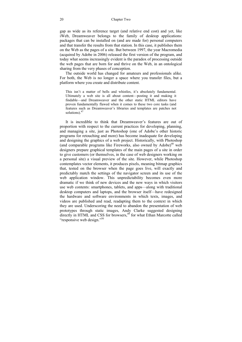gap as wide as its reference target (and relative end cost) and yet, like iWeb, Dreamweaver belongs to the family of desktop applications: packages that can be installed on (and are made for) personal computers and that transfer the results from that station. In this case, it publishes them on the Web as the pages of a site. But between 1997, the year Macromedia (acquired by Adobe in 2006) released the first version of the program, and today what seems increasingly evident is the paradox of processing outside the web pages that are born for and thrive on the Web, in an ontological sharing from the very phases of conception.

The outside world has changed for amateurs and professionals alike. For both, the Web is no longer a space where you transfer files, but a platform where you create and distribute content.

This isn't a matter of bells and whistles, it's absolutely fundamental. Ultimately a web site is all about content—posting it and making it findable—and Dreamweaver and the other static HTML editors have proven fundamentally flawed when it comes to these two core tasks (and features such as Dreamweaver's libraries and templates are patches not solutions).<sup>47</sup>

It is incredible to think that Dreamweaver's features are out of proportion with respect to the current practices for developing, planning, and managing a site, just as Photoshop (one of Adobe's other historic programs for retouching and more) has become inadequate for developing and designing the graphics of a web project. Historically, with Photoshop (and comparable programs like Fireworks, also owned by  $Adobe$ <sup>48</sup> web designers prepare graphical templates of the main pages of a site in order to give customers (or themselves, in the case of web designers working on a personal site) a visual preview of the site. However, while Photoshop contemplates vector elements, it produces pixels, meaning bitmap graphics that, tested on the browser when the page goes live, will exactly and predictably match the settings of the navigator screen and its use of the web application window. This unpredictability becomes even more dramatic if we think of new devices and the new ways in which visitors use web contents: smartphones, tablets, and apps—along with traditional desktop computers and laptops, and the browser itself—have redesigned the hardware and software environments in which texts, images, and videos are published and read, readapting them to the context in which they are used. Underscoring the need to abandon the presentation of web prototypes through static images, Andy Clarke suggested designing  $\frac{1}{2}$  directly in HTML and CSS for browsers,  $\frac{49}{2}$  for what Ethan Marcotte called "responsive web design."<sup>50</sup>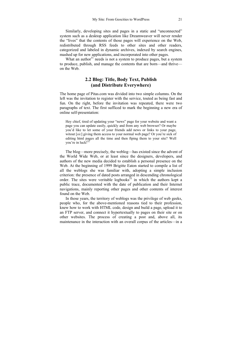Similarly, developing sites and pages in a static and "unconnected" system such as a desktop application like Dreamweaver will never render the "lives" that the contents of those pages will experience on the Web, redistributed through RSS feeds to other sites and other readers, categorized and labeled in dynamic archives, indexed by search engines, mashed up for new applications, and incorporated into other pages.

What an author<sup>51</sup> needs is not a system to produce pages, but a system to produce, publish, and manage the contents that are born—and thrive on the Web.

#### **2.2 Blog: Title, Body Text, Publish (and Distribute Everywhere)**

The home page of Pitas.com was divided into two simple columns. On the left was the invitation to register with the service, touted as being fast and fun. On the right, before the invitation was repeated, there were two paragraphs of text. The first sufficed to mark the beginning a new era of online self-presentation:

Hey chief, tired of updating your "news" page for your website and want a page you can update easily, quickly and from any web browser? Or maybe you'd like to let some of your friends add news or links to your page, witout [*sic*] giving them access to your normal web page? Or you're sick of editing html pages all the time and then ftping them to your site? Well you're in luck!52

The blog—more precisely, the weblog—has existed since the advent of the World Wide Web, or at least since the designers, developers, and authors of the new media decided to establish a personal presence on the Web. At the beginning of 1999 Brigitte Eaton started to compile a list of all the weblogs she was familiar with, adopting a simple inclusion criterion: the presence of dated posts arranged in descending chronological order. The sites were veritable logbooks<sup>53</sup> in which the authors kept a public trace, documented with the date of publication and their Internet navigations, mainly reporting other pages and other contents of interest found on the Web.

In those years, the territory of weblogs was the privilege of web geeks, people who, for the above-mentioned reasons tied to their profession, knew how to work with HTML code, design and build a page, upload it to an FTP server, and connect it hypertextually to pages on their site or on other websites. The process of creating a post and, above all, its maintenance in the interaction with an overall corpus of the articles—in a